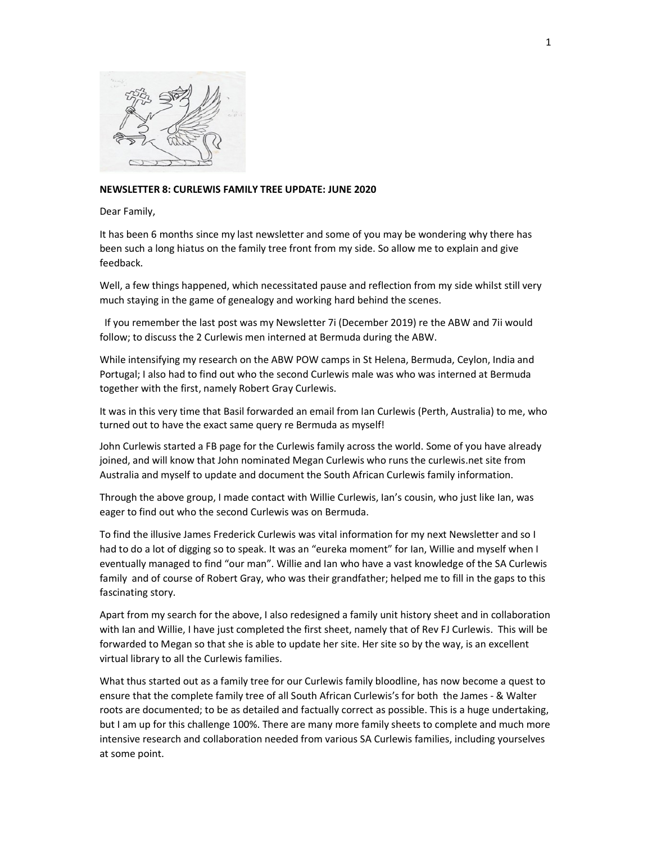

## NEWSLETTER 8: CURLEWIS FAMILY TREE UPDATE: JUNE 2020

Dear Family,

It has been 6 months since my last newsletter and some of you may be wondering why there has been such a long hiatus on the family tree front from my side. So allow me to explain and give feedback.

Well, a few things happened, which necessitated pause and reflection from my side whilst still very much staying in the game of genealogy and working hard behind the scenes.

 If you remember the last post was my Newsletter 7i (December 2019) re the ABW and 7ii would follow; to discuss the 2 Curlewis men interned at Bermuda during the ABW.

While intensifying my research on the ABW POW camps in St Helena, Bermuda, Ceylon, India and Portugal; I also had to find out who the second Curlewis male was who was interned at Bermuda together with the first, namely Robert Gray Curlewis.

It was in this very time that Basil forwarded an email from Ian Curlewis (Perth, Australia) to me, who turned out to have the exact same query re Bermuda as myself!

John Curlewis started a FB page for the Curlewis family across the world. Some of you have already joined, and will know that John nominated Megan Curlewis who runs the curlewis.net site from Australia and myself to update and document the South African Curlewis family information.

Through the above group, I made contact with Willie Curlewis, Ian's cousin, who just like Ian, was eager to find out who the second Curlewis was on Bermuda.

To find the illusive James Frederick Curlewis was vital information for my next Newsletter and so I had to do a lot of digging so to speak. It was an "eureka moment" for Ian, Willie and myself when I eventually managed to find "our man". Willie and Ian who have a vast knowledge of the SA Curlewis family and of course of Robert Gray, who was their grandfather; helped me to fill in the gaps to this fascinating story.

Apart from my search for the above, I also redesigned a family unit history sheet and in collaboration with Ian and Willie, I have just completed the first sheet, namely that of Rev FJ Curlewis. This will be forwarded to Megan so that she is able to update her site. Her site so by the way, is an excellent virtual library to all the Curlewis families.

What thus started out as a family tree for our Curlewis family bloodline, has now become a quest to ensure that the complete family tree of all South African Curlewis's for both the James - & Walter roots are documented; to be as detailed and factually correct as possible. This is a huge undertaking, but I am up for this challenge 100%. There are many more family sheets to complete and much more intensive research and collaboration needed from various SA Curlewis families, including yourselves at some point.